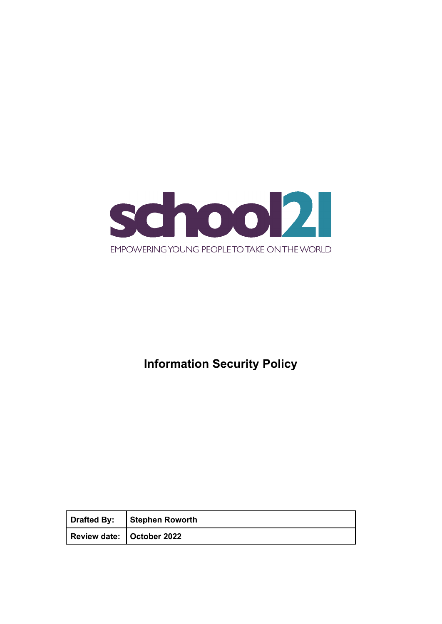

# **Information Security Policy**

| Drafted By: Stephen Roworth |
|-----------------------------|
| Review date: October 2022   |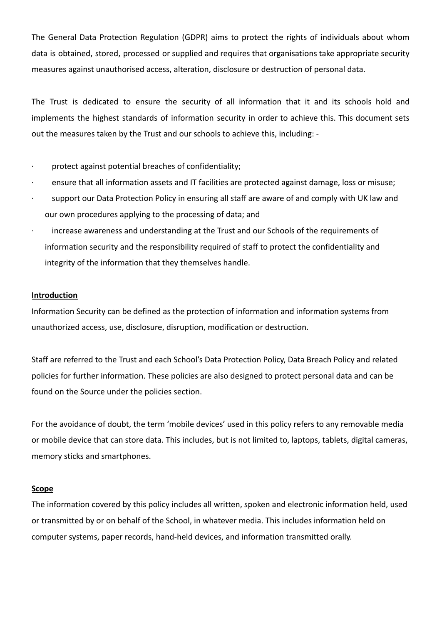The General Data Protection Regulation (GDPR) aims to protect the rights of individuals about whom data is obtained, stored, processed or supplied and requires that organisations take appropriate security measures against unauthorised access, alteration, disclosure or destruction of personal data.

The Trust is dedicated to ensure the security of all information that it and its schools hold and implements the highest standards of information security in order to achieve this. This document sets out the measures taken by the Trust and our schools to achieve this, including: -

- protect against potential breaches of confidentiality;
- ensure that all information assets and IT facilities are protected against damage, loss or misuse;
- support our Data Protection Policy in ensuring all staff are aware of and comply with UK law and our own procedures applying to the processing of data; and
- increase awareness and understanding at the Trust and our Schools of the requirements of information security and the responsibility required of staff to protect the confidentiality and integrity of the information that they themselves handle.

#### **Introduction**

Information Security can be defined as the protection of information and information systems from unauthorized access, use, disclosure, disruption, modification or destruction.

Staff are referred to the Trust and each School's Data Protection Policy, Data Breach Policy and related policies for further information. These policies are also designed to protect personal data and can be found on the Source under the policies section.

For the avoidance of doubt, the term 'mobile devices' used in this policy refers to any removable media or mobile device that can store data. This includes, but is not limited to, laptops, tablets, digital cameras, memory sticks and smartphones.

#### **Scope**

The information covered by this policy includes all written, spoken and electronic information held, used or transmitted by or on behalf of the School, in whatever media. This includes information held on computer systems, paper records, hand-held devices, and information transmitted orally.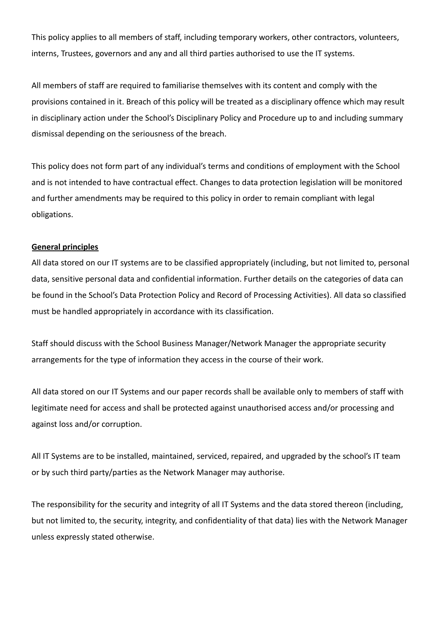This policy applies to all members of staff, including temporary workers, other contractors, volunteers, interns, Trustees, governors and any and all third parties authorised to use the IT systems.

All members of staff are required to familiarise themselves with its content and comply with the provisions contained in it. Breach of this policy will be treated as a disciplinary offence which may result in disciplinary action under the School's Disciplinary Policy and Procedure up to and including summary dismissal depending on the seriousness of the breach.

This policy does not form part of any individual's terms and conditions of employment with the School and is not intended to have contractual effect. Changes to data protection legislation will be monitored and further amendments may be required to this policy in order to remain compliant with legal obligations.

## **General principles**

All data stored on our IT systems are to be classified appropriately (including, but not limited to, personal data, sensitive personal data and confidential information. Further details on the categories of data can be found in the School's Data Protection Policy and Record of Processing Activities). All data so classified must be handled appropriately in accordance with its classification.

Staff should discuss with the School Business Manager/Network Manager the appropriate security arrangements for the type of information they access in the course of their work.

All data stored on our IT Systems and our paper records shall be available only to members of staff with legitimate need for access and shall be protected against unauthorised access and/or processing and against loss and/or corruption.

All IT Systems are to be installed, maintained, serviced, repaired, and upgraded by the school's IT team or by such third party/parties as the Network Manager may authorise.

The responsibility for the security and integrity of all IT Systems and the data stored thereon (including, but not limited to, the security, integrity, and confidentiality of that data) lies with the Network Manager unless expressly stated otherwise.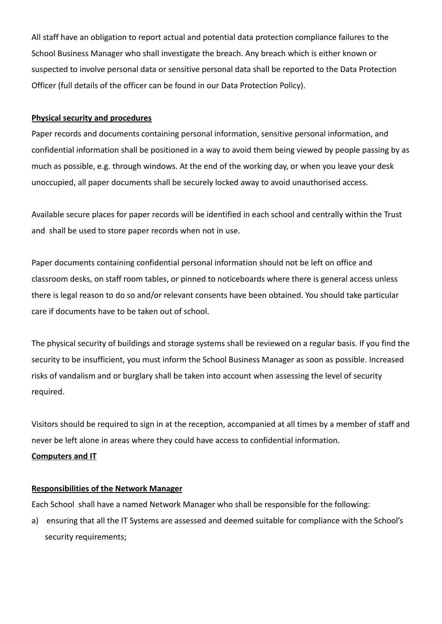All staff have an obligation to report actual and potential data protection compliance failures to the School Business Manager who shall investigate the breach. Any breach which is either known or suspected to involve personal data or sensitive personal data shall be reported to the Data Protection Officer (full details of the officer can be found in our Data Protection Policy).

### **Physical security and procedures**

Paper records and documents containing personal information, sensitive personal information, and confidential information shall be positioned in a way to avoid them being viewed by people passing by as much as possible, e.g. through windows. At the end of the working day, or when you leave your desk unoccupied, all paper documents shall be securely locked away to avoid unauthorised access.

Available secure places for paper records will be identified in each school and centrally within the Trust and shall be used to store paper records when not in use.

Paper documents containing confidential personal information should not be left on office and classroom desks, on staff room tables, or pinned to noticeboards where there is general access unless there is legal reason to do so and/or relevant consents have been obtained. You should take particular care if documents have to be taken out of school.

The physical security of buildings and storage systems shall be reviewed on a regular basis. If you find the security to be insufficient, you must inform the School Business Manager as soon as possible. Increased risks of vandalism and or burglary shall be taken into account when assessing the level of security required.

Visitors should be required to sign in at the reception, accompanied at all times by a member of staff and never be left alone in areas where they could have access to confidential information.

### **Computers and IT**

### **Responsibilities of the Network Manager**

Each School shall have a named Network Manager who shall be responsible for the following:

a) ensuring that all the IT Systems are assessed and deemed suitable for compliance with the School's security requirements;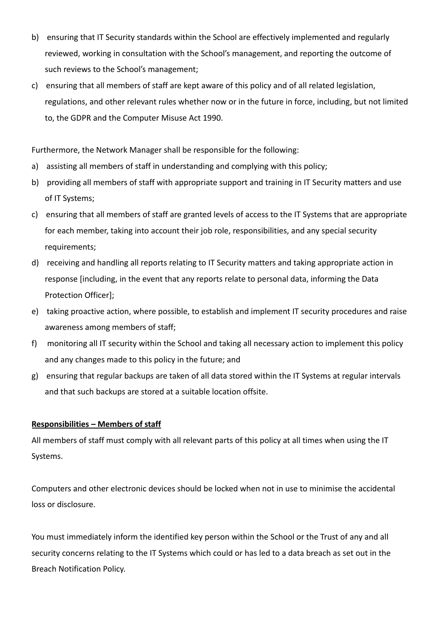- b) ensuring that IT Security standards within the School are effectively implemented and regularly reviewed, working in consultation with the School's management, and reporting the outcome of such reviews to the School's management;
- c) ensuring that all members of staff are kept aware of this policy and of all related legislation, regulations, and other relevant rules whether now or in the future in force, including, but not limited to, the GDPR and the Computer Misuse Act 1990.

Furthermore, the Network Manager shall be responsible for the following:

- a) assisting all members of staff in understanding and complying with this policy;
- b) providing all members of staff with appropriate support and training in IT Security matters and use of IT Systems;
- c) ensuring that all members of staff are granted levels of access to the IT Systems that are appropriate for each member, taking into account their job role, responsibilities, and any special security requirements;
- d) receiving and handling all reports relating to IT Security matters and taking appropriate action in response [including, in the event that any reports relate to personal data, informing the Data Protection Officer];
- e) taking proactive action, where possible, to establish and implement IT security procedures and raise awareness among members of staff;
- f) monitoring all IT security within the School and taking all necessary action to implement this policy and any changes made to this policy in the future; and
- g) ensuring that regular backups are taken of all data stored within the IT Systems at regular intervals and that such backups are stored at a suitable location offsite.

### **Responsibilities – Members of staff**

All members of staff must comply with all relevant parts of this policy at all times when using the IT Systems.

Computers and other electronic devices should be locked when not in use to minimise the accidental loss or disclosure.

You must immediately inform the identified key person within the School or the Trust of any and all security concerns relating to the IT Systems which could or has led to a data breach as set out in the Breach Notification Policy.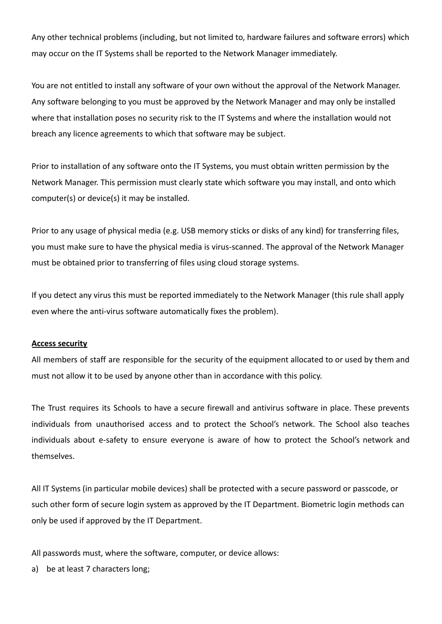Any other technical problems (including, but not limited to, hardware failures and software errors) which may occur on the IT Systems shall be reported to the Network Manager immediately.

You are not entitled to install any software of your own without the approval of the Network Manager. Any software belonging to you must be approved by the Network Manager and may only be installed where that installation poses no security risk to the IT Systems and where the installation would not breach any licence agreements to which that software may be subject.

Prior to installation of any software onto the IT Systems, you must obtain written permission by the Network Manager. This permission must clearly state which software you may install, and onto which computer(s) or device(s) it may be installed.

Prior to any usage of physical media (e.g. USB memory sticks or disks of any kind) for transferring files, you must make sure to have the physical media is virus-scanned. The approval of the Network Manager must be obtained prior to transferring of files using cloud storage systems.

If you detect any virus this must be reported immediately to the Network Manager (this rule shall apply even where the anti-virus software automatically fixes the problem).

### **Access security**

All members of staff are responsible for the security of the equipment allocated to or used by them and must not allow it to be used by anyone other than in accordance with this policy.

The Trust requires its Schools to have a secure firewall and antivirus software in place. These prevents individuals from unauthorised access and to protect the School's network. The School also teaches individuals about e-safety to ensure everyone is aware of how to protect the School's network and themselves.

All IT Systems (in particular mobile devices) shall be protected with a secure password or passcode, or such other form of secure login system as approved by the IT Department. Biometric login methods can only be used if approved by the IT Department.

All passwords must, where the software, computer, or device allows:

a) be at least 7 characters long;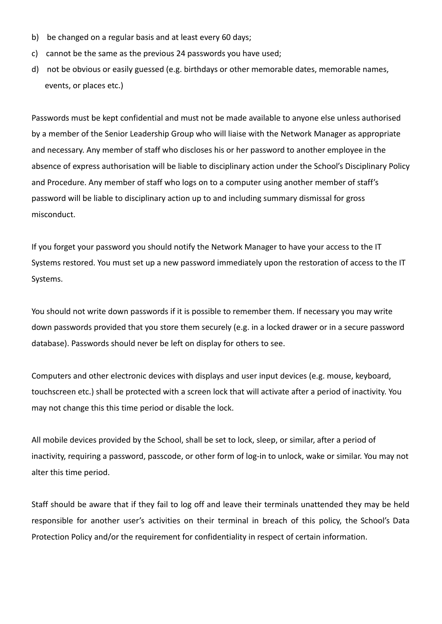- b) be changed on a regular basis and at least every 60 days;
- c) cannot be the same as the previous 24 passwords you have used;
- d) not be obvious or easily guessed (e.g. birthdays or other memorable dates, memorable names, events, or places etc.)

Passwords must be kept confidential and must not be made available to anyone else unless authorised by a member of the Senior Leadership Group who will liaise with the Network Manager as appropriate and necessary. Any member of staff who discloses his or her password to another employee in the absence of express authorisation will be liable to disciplinary action under the School's Disciplinary Policy and Procedure. Any member of staff who logs on to a computer using another member of staff's password will be liable to disciplinary action up to and including summary dismissal for gross misconduct.

If you forget your password you should notify the Network Manager to have your access to the IT Systems restored. You must set up a new password immediately upon the restoration of access to the IT Systems.

You should not write down passwords if it is possible to remember them. If necessary you may write down passwords provided that you store them securely (e.g. in a locked drawer or in a secure password database). Passwords should never be left on display for others to see.

Computers and other electronic devices with displays and user input devices (e.g. mouse, keyboard, touchscreen etc.) shall be protected with a screen lock that will activate after a period of inactivity. You may not change this this time period or disable the lock.

All mobile devices provided by the School, shall be set to lock, sleep, or similar, after a period of inactivity, requiring a password, passcode, or other form of log-in to unlock, wake or similar. You may not alter this time period.

Staff should be aware that if they fail to log off and leave their terminals unattended they may be held responsible for another user's activities on their terminal in breach of this policy, the School's Data Protection Policy and/or the requirement for confidentiality in respect of certain information.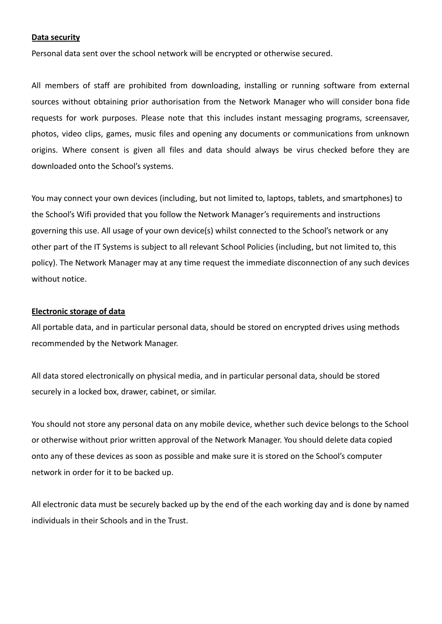#### **Data security**

Personal data sent over the school network will be encrypted or otherwise secured.

All members of staff are prohibited from downloading, installing or running software from external sources without obtaining prior authorisation from the Network Manager who will consider bona fide requests for work purposes. Please note that this includes instant messaging programs, screensaver, photos, video clips, games, music files and opening any documents or communications from unknown origins. Where consent is given all files and data should always be virus checked before they are downloaded onto the School's systems.

You may connect your own devices (including, but not limited to, laptops, tablets, and smartphones) to the School's Wifi provided that you follow the Network Manager's requirements and instructions governing this use. All usage of your own device(s) whilst connected to the School's network or any other part of the IT Systems is subject to all relevant School Policies (including, but not limited to, this policy). The Network Manager may at any time request the immediate disconnection of any such devices without notice.

#### **Electronic storage of data**

All portable data, and in particular personal data, should be stored on encrypted drives using methods recommended by the Network Manager.

All data stored electronically on physical media, and in particular personal data, should be stored securely in a locked box, drawer, cabinet, or similar.

You should not store any personal data on any mobile device, whether such device belongs to the School or otherwise without prior written approval of the Network Manager. You should delete data copied onto any of these devices as soon as possible and make sure it is stored on the School's computer network in order for it to be backed up.

All electronic data must be securely backed up by the end of the each working day and is done by named individuals in their Schools and in the Trust.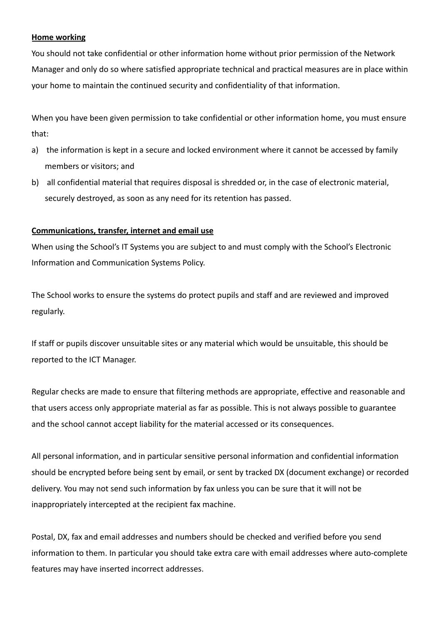## **Home working**

You should not take confidential or other information home without prior permission of the Network Manager and only do so where satisfied appropriate technical and practical measures are in place within your home to maintain the continued security and confidentiality of that information.

When you have been given permission to take confidential or other information home, you must ensure that:

- a) the information is kept in a secure and locked environment where it cannot be accessed by family members or visitors; and
- b) all confidential material that requires disposal is shredded or, in the case of electronic material, securely destroyed, as soon as any need for its retention has passed.

## **Communications, transfer, internet and email use**

When using the School's IT Systems you are subject to and must comply with the School's Electronic Information and Communication Systems Policy.

The School works to ensure the systems do protect pupils and staff and are reviewed and improved regularly.

If staff or pupils discover unsuitable sites or any material which would be unsuitable, this should be reported to the ICT Manager.

Regular checks are made to ensure that filtering methods are appropriate, effective and reasonable and that users access only appropriate material as far as possible. This is not always possible to guarantee and the school cannot accept liability for the material accessed or its consequences.

All personal information, and in particular sensitive personal information and confidential information should be encrypted before being sent by email, or sent by tracked DX (document exchange) or recorded delivery. You may not send such information by fax unless you can be sure that it will not be inappropriately intercepted at the recipient fax machine.

Postal, DX, fax and email addresses and numbers should be checked and verified before you send information to them. In particular you should take extra care with email addresses where auto-complete features may have inserted incorrect addresses.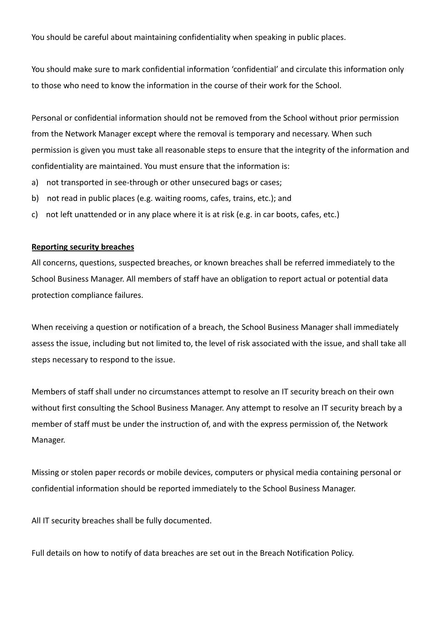You should be careful about maintaining confidentiality when speaking in public places.

You should make sure to mark confidential information 'confidential' and circulate this information only to those who need to know the information in the course of their work for the School.

Personal or confidential information should not be removed from the School without prior permission from the Network Manager except where the removal is temporary and necessary. When such permission is given you must take all reasonable steps to ensure that the integrity of the information and confidentiality are maintained. You must ensure that the information is:

- a) not transported in see-through or other unsecured bags or cases;
- b) not read in public places (e.g. waiting rooms, cafes, trains, etc.); and
- c) not left unattended or in any place where it is at risk (e.g. in car boots, cafes, etc.)

#### **Reporting security breaches**

All concerns, questions, suspected breaches, or known breaches shall be referred immediately to the School Business Manager. All members of staff have an obligation to report actual or potential data protection compliance failures.

When receiving a question or notification of a breach, the School Business Manager shall immediately assess the issue, including but not limited to, the level of risk associated with the issue, and shall take all steps necessary to respond to the issue.

Members of staff shall under no circumstances attempt to resolve an IT security breach on their own without first consulting the School Business Manager. Any attempt to resolve an IT security breach by a member of staff must be under the instruction of, and with the express permission of, the Network Manager.

Missing or stolen paper records or mobile devices, computers or physical media containing personal or confidential information should be reported immediately to the School Business Manager.

All IT security breaches shall be fully documented.

Full details on how to notify of data breaches are set out in the Breach Notification Policy.